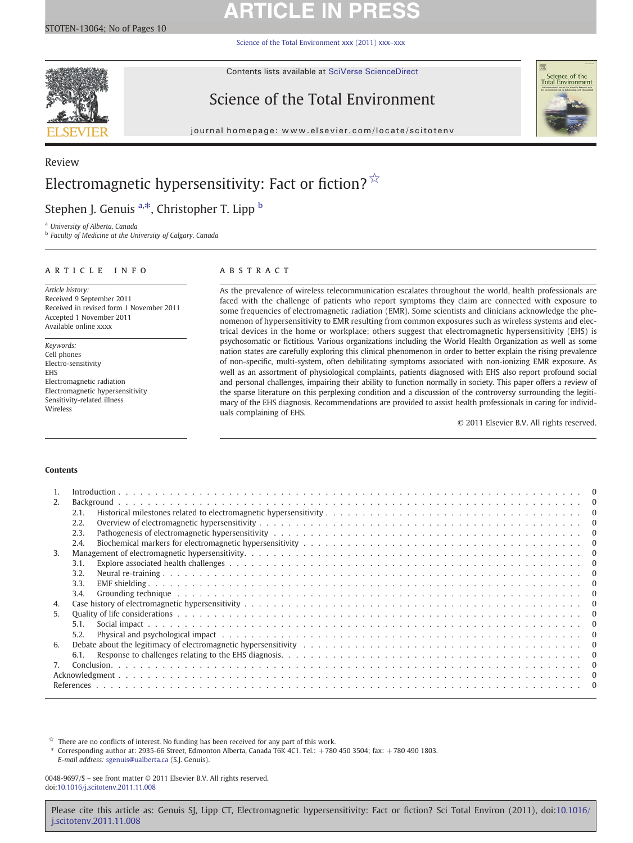# **ARTICLE IN PRESS**

[Science of the Total Environment xxx \(2011\) xxx](http://dx.doi.org/10.1016/j.scitotenv.2011.11.008)–xxx

Contents lists available at SciVerse ScienceDirect



Review

Science of the Total Environment



journal homepage: www.elsevier.com/locate/scitotenv

# Electromagnetic hypersensitivity: Fact or fiction?  $\overrightarrow{x}$

Stephen J. Genuis <sup>a,\*</sup>, Christopher T. Lipp <sup>b</sup>

<sup>a</sup> University of Alberta, Canada

<sup>b</sup> Faculty of Medicine at the University of Calgary, Canada

# article info abstract

Article history: Received 9 September 2011 Received in revised form 1 November 2011 Accepted 1 November 2011 Available online xxxx

Keywords: Cell phones Electro-sensitivity EHS Electromagnetic radiation Electromagnetic hypersensitivity Sensitivity-related illness Wireless

As the prevalence of wireless telecommunication escalates throughout the world, health professionals are faced with the challenge of patients who report symptoms they claim are connected with exposure to some frequencies of electromagnetic radiation (EMR). Some scientists and clinicians acknowledge the phenomenon of hypersensitivity to EMR resulting from common exposures such as wireless systems and electrical devices in the home or workplace; others suggest that electromagnetic hypersensitivity (EHS) is psychosomatic or fictitious. Various organizations including the World Health Organization as well as some nation states are carefully exploring this clinical phenomenon in order to better explain the rising prevalence of non-specific, multi-system, often debilitating symptoms associated with non-ionizing EMR exposure. As well as an assortment of physiological complaints, patients diagnosed with EHS also report profound social and personal challenges, impairing their ability to function normally in society. This paper offers a review of the sparse literature on this perplexing condition and a discussion of the controversy surrounding the legitimacy of the EHS diagnosis. Recommendations are provided to assist health professionals in caring for individuals complaining of EHS.

© 2011 Elsevier B.V. All rights reserved.

### Contents

| 2.               |                                                                                                                                                                                                                                        |  |  |  |  |
|------------------|----------------------------------------------------------------------------------------------------------------------------------------------------------------------------------------------------------------------------------------|--|--|--|--|
|                  | 2.1.                                                                                                                                                                                                                                   |  |  |  |  |
|                  | 2.2.                                                                                                                                                                                                                                   |  |  |  |  |
|                  | 2.3.                                                                                                                                                                                                                                   |  |  |  |  |
|                  | 2.4.                                                                                                                                                                                                                                   |  |  |  |  |
| $\overline{3}$ . |                                                                                                                                                                                                                                        |  |  |  |  |
|                  | 3.1.                                                                                                                                                                                                                                   |  |  |  |  |
|                  | 3.2.                                                                                                                                                                                                                                   |  |  |  |  |
|                  | 3.3.                                                                                                                                                                                                                                   |  |  |  |  |
|                  | 3.4.<br>Grounding technique by a state of the state of the state of the state of the state of the state of the state of the state of the state of the state of the state of the state of the state of the state of the state of the st |  |  |  |  |
| $\overline{4}$ . |                                                                                                                                                                                                                                        |  |  |  |  |
| 5.               |                                                                                                                                                                                                                                        |  |  |  |  |
|                  | 5.1.                                                                                                                                                                                                                                   |  |  |  |  |
|                  | Physical and psychological impact (a) and a series of the content of the content of the content of the content of the content of the content of the content of the content of the content of the content of the content of the<br>5.2. |  |  |  |  |
| 6.               |                                                                                                                                                                                                                                        |  |  |  |  |
|                  | 6.1.                                                                                                                                                                                                                                   |  |  |  |  |
|                  |                                                                                                                                                                                                                                        |  |  |  |  |
|                  |                                                                                                                                                                                                                                        |  |  |  |  |
|                  |                                                                                                                                                                                                                                        |  |  |  |  |

 $\overrightarrow{r}$  There are no conflicts of interest. No funding has been received for any part of this work.

⁎ Corresponding author at: 2935-66 Street, Edmonton Alberta, Canada T6K 4C1. Tel.: +780 450 3504; fax: +780 490 1803. E-mail address: [sgenuis@ualberta.ca](mailto:sgenuis@ualberta.ca) (S.J. Genuis).

0048-9697/\$ – see front matter © 2011 Elsevier B.V. All rights reserved. doi:[10.1016/j.scitotenv.2011.11.008](http://dx.doi.org/10.1016/j.scitotenv.2011.11.008)

Please cite this article as: Genuis SJ, Lipp CT, Electromagnetic hypersensitivity: Fact or fiction? Sci Total Environ (2011), doi:[10.1016/](http://dx.doi.org/10.1016/j.scitotenv.2011.11.008) [j.scitotenv.2011.11.008](http://dx.doi.org/10.1016/j.scitotenv.2011.11.008)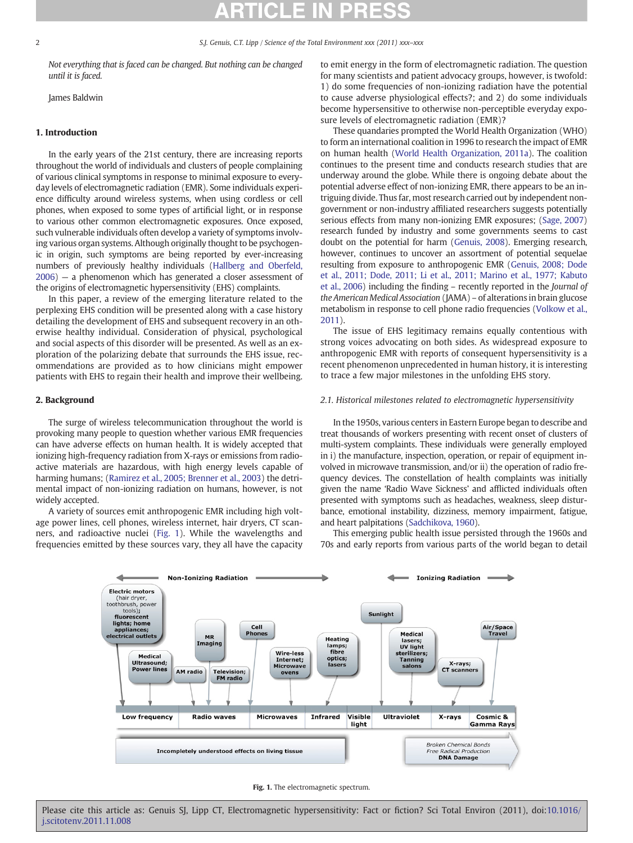<span id="page-1-0"></span>Not everything that is faced can be changed. But nothing can be changed until it is faced.

James Baldwin

# 1. Introduction

In the early years of the 21st century, there are increasing reports throughout the world of individuals and clusters of people complaining of various clinical symptoms in response to minimal exposure to everyday levels of electromagnetic radiation (EMR). Some individuals experience difficulty around wireless systems, when using cordless or cell phones, when exposed to some types of artificial light, or in response to various other common electromagnetic exposures. Once exposed, such vulnerable individuals often develop a variety of symptoms involving various organ systems. Although originally thought to be psychogenic in origin, such symptoms are being reported by ever-increasing numbers of previously healthy individuals [\(Hallberg and Oberfeld,](#page-8-0) [2006](#page-8-0)) — a phenomenon which has generated a closer assessment of the origins of electromagnetic hypersensitivity (EHS) complaints.

In this paper, a review of the emerging literature related to the perplexing EHS condition will be presented along with a case history detailing the development of EHS and subsequent recovery in an otherwise healthy individual. Consideration of physical, psychological and social aspects of this disorder will be presented. As well as an exploration of the polarizing debate that surrounds the EHS issue, recommendations are provided as to how clinicians might empower patients with EHS to regain their health and improve their wellbeing.

# 2. Background

The surge of wireless telecommunication throughout the world is provoking many people to question whether various EMR frequencies can have adverse effects on human health. It is widely accepted that ionizing high-frequency radiation from X-rays or emissions from radioactive materials are hazardous, with high energy levels capable of harming humans; ([Ramirez et al., 2005; Brenner et al., 2003\)](#page-9-0) the detrimental impact of non-ionizing radiation on humans, however, is not widely accepted.

A variety of sources emit anthropogenic EMR including high voltage power lines, cell phones, wireless internet, hair dryers, CT scanners, and radioactive nuclei (Fig. 1). While the wavelengths and frequencies emitted by these sources vary, they all have the capacity to emit energy in the form of electromagnetic radiation. The question for many scientists and patient advocacy groups, however, is twofold: 1) do some frequencies of non-ionizing radiation have the potential to cause adverse physiological effects?; and 2) do some individuals become hypersensitive to otherwise non-perceptible everyday exposure levels of electromagnetic radiation (EMR)?

These quandaries prompted the World Health Organization (WHO) to form an international coalition in 1996 to research the impact of EMR on human health [\(World Health Organization, 2011a](#page-9-0)). The coalition continues to the present time and conducts research studies that are underway around the globe. While there is ongoing debate about the potential adverse effect of non-ionizing EMR, there appears to be an intriguing divide. Thus far, most research carried out by independent nongovernment or non-industry affiliated researchers suggests potentially serious effects from many non-ionizing EMR exposures; ([Sage, 2007](#page-9-0)) research funded by industry and some governments seems to cast doubt on the potential for harm ([Genuis, 2008\)](#page-8-0). Emerging research, however, continues to uncover an assortment of potential sequelae resulting from exposure to anthropogenic EMR ([Genuis, 2008; Dode](#page-8-0) [et al., 2011; Dode, 2011; Li et al., 2011; Marino et al., 1977; Kabuto](#page-8-0) [et al., 2006](#page-8-0)) including the finding – recently reported in the Journal of the American Medical Association (JAMA) – of alterations in brain glucose metabolism in response to cell phone radio frequencies ([Volkow et al.,](#page-9-0) [2011\)](#page-9-0).

The issue of EHS legitimacy remains equally contentious with strong voices advocating on both sides. As widespread exposure to anthropogenic EMR with reports of consequent hypersensitivity is a recent phenomenon unprecedented in human history, it is interesting to trace a few major milestones in the unfolding EHS story.

# 2.1. Historical milestones related to electromagnetic hypersensitivity

In the 1950s, various centers in Eastern Europe began to describe and treat thousands of workers presenting with recent onset of clusters of multi-system complaints. These individuals were generally employed in i) the manufacture, inspection, operation, or repair of equipment involved in microwave transmission, and/or ii) the operation of radio frequency devices. The constellation of health complaints was initially given the name 'Radio Wave Sickness' and afflicted individuals often presented with symptoms such as headaches, weakness, sleep disturbance, emotional instability, dizziness, memory impairment, fatigue, and heart palpitations [\(Sadchikova, 1960](#page-9-0)).

This emerging public health issue persisted through the 1960s and 70s and early reports from various parts of the world began to detail



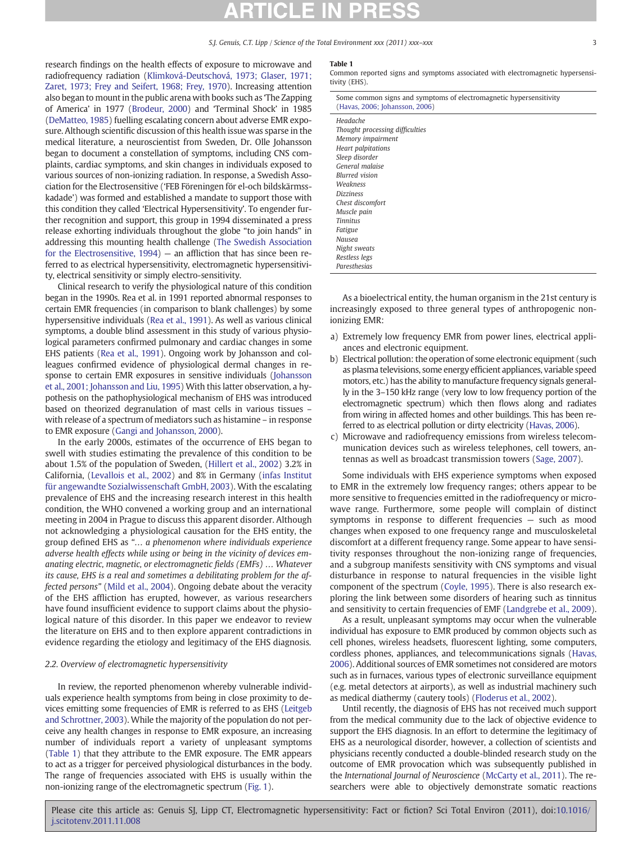research findings on the health effects of exposure to microwave and radiofrequency radiation ([Klimková-Deutschová, 1973; Glaser, 1971;](#page-9-0) [Zaret, 1973; Frey and Seifert, 1968; Frey, 1970](#page-9-0)). Increasing attention also began to mount in the public arena with books such as 'The Zapping of America' in 1977 [\(Brodeur, 2000](#page-8-0)) and 'Terminal Shock' in 1985 [\(DeMatteo, 1985](#page-8-0)) fuelling escalating concern about adverse EMR exposure. Although scientific discussion of this health issue was sparse in the medical literature, a neuroscientist from Sweden, Dr. Olle Johansson began to document a constellation of symptoms, including CNS complaints, cardiac symptoms, and skin changes in individuals exposed to various sources of non-ionizing radiation. In response, a Swedish Association for the Electrosensitive ('FEB Föreningen för el-och bildskärmsskadade') was formed and established a mandate to support those with this condition they called 'Electrical Hypersensitivity'. To engender further recognition and support, this group in 1994 disseminated a press release exhorting individuals throughout the globe "to join hands" in addressing this mounting health challenge [\(The Swedish Association](#page-9-0) [for the Electrosensitive, 1994](#page-9-0)) — an affliction that has since been referred to as electrical hypersensitivity, electromagnetic hypersensitivity, electrical sensitivity or simply electro-sensitivity.

Clinical research to verify the physiological nature of this condition began in the 1990s. Rea et al. in 1991 reported abnormal responses to certain EMR frequencies (in comparison to blank challenges) by some hypersensitive individuals [\(Rea et al., 1991](#page-9-0)). As well as various clinical symptoms, a double blind assessment in this study of various physiological parameters confirmed pulmonary and cardiac changes in some EHS patients ([Rea et al., 1991\)](#page-9-0). Ongoing work by Johansson and colleagues confirmed evidence of physiological dermal changes in response to certain EMR exposures in sensitive individuals [\(Johansson](#page-9-0) [et al., 2001; Johansson and Liu, 1995\)](#page-9-0) With this latter observation, a hypothesis on the pathophysiological mechanism of EHS was introduced based on theorized degranulation of mast cells in various tissues – with release of a spectrum of mediators such as histamine – in response to EMR exposure ([Gangi and Johansson, 2000\)](#page-8-0).

In the early 2000s, estimates of the occurrence of EHS began to swell with studies estimating the prevalence of this condition to be about 1.5% of the population of Sweden, [\(Hillert et al., 2002](#page-8-0)) 3.2% in California, ([Levallois et al., 2002](#page-9-0)) and 8% in Germany ([infas Institut](#page-8-0) [für angewandte Sozialwissenschaft GmbH, 2003](#page-8-0)). With the escalating prevalence of EHS and the increasing research interest in this health condition, the WHO convened a working group and an international meeting in 2004 in Prague to discuss this apparent disorder. Although not acknowledging a physiological causation for the EHS entity, the group defined EHS as "… a phenomenon where individuals experience adverse health effects while using or being in the vicinity of devices emanating electric, magnetic, or electromagnetic fields (EMFs) … Whatever its cause, EHS is a real and sometimes a debilitating problem for the affected persons" [\(Mild et al., 2004](#page-9-0)). Ongoing debate about the veracity of the EHS affliction has erupted, however, as various researchers have found insufficient evidence to support claims about the physiological nature of this disorder. In this paper we endeavor to review the literature on EHS and to then explore apparent contradictions in evidence regarding the etiology and legitimacy of the EHS diagnosis.

## 2.2. Overview of electromagnetic hypersensitivity

In review, the reported phenomenon whereby vulnerable individuals experience health symptoms from being in close proximity to devices emitting some frequencies of EMR is referred to as EHS ([Leitgeb](#page-9-0) [and Schrottner, 2003](#page-9-0)). While the majority of the population do not perceive any health changes in response to EMR exposure, an increasing number of individuals report a variety of unpleasant symptoms (Table 1) that they attribute to the EMR exposure. The EMR appears to act as a trigger for perceived physiological disturbances in the body. The range of frequencies associated with EHS is usually within the non-ionizing range of the electromagnetic spectrum [\(Fig. 1](#page-1-0)).

### Table 1

Common reported signs and symptoms associated with electromagnetic hypersensitivity (EHS).

| Some common signs and symptoms of electromagnetic hypersensitivity<br>(Havas, 2006; Johansson, 2006) |
|------------------------------------------------------------------------------------------------------|
| Headache                                                                                             |
| Thought processing difficulties                                                                      |
| Memory impairment                                                                                    |
| Heart palpitations                                                                                   |
| Sleep disorder                                                                                       |
| General malaise                                                                                      |
| Blurred vision                                                                                       |
| Weakness                                                                                             |
| <b>Dizziness</b>                                                                                     |
| Chest discomfort                                                                                     |
| Muscle pain                                                                                          |
| <b>Tinnitus</b>                                                                                      |
| Fatigue                                                                                              |
| Nausea                                                                                               |
| Night sweats                                                                                         |
| Restless legs                                                                                        |
| Paresthesias                                                                                         |

As a bioelectrical entity, the human organism in the 21st century is increasingly exposed to three general types of anthropogenic nonionizing EMR:

- a) Extremely low frequency EMR from power lines, electrical appliances and electronic equipment.
- b) Electrical pollution: the operation of some electronic equipment (such as plasma televisions, some energy efficient appliances, variable speed motors, etc.) has the ability to manufacture frequency signals generally in the 3–150 kHz range (very low to low frequency portion of the electromagnetic spectrum) which then flows along and radiates from wiring in affected homes and other buildings. This has been referred to as electrical pollution or dirty electricity [\(Havas, 2006](#page-8-0)).
- c) Microwave and radiofrequency emissions from wireless telecommunication devices such as wireless telephones, cell towers, antennas as well as broadcast transmission towers [\(Sage, 2007](#page-9-0)).

Some individuals with EHS experience symptoms when exposed to EMR in the extremely low frequency ranges; others appear to be more sensitive to frequencies emitted in the radiofrequency or microwave range. Furthermore, some people will complain of distinct symptoms in response to different frequencies — such as mood changes when exposed to one frequency range and musculoskeletal discomfort at a different frequency range. Some appear to have sensitivity responses throughout the non-ionizing range of frequencies, and a subgroup manifests sensitivity with CNS symptoms and visual disturbance in response to natural frequencies in the visible light component of the spectrum [\(Coyle, 1995\)](#page-8-0). There is also research exploring the link between some disorders of hearing such as tinnitus and sensitivity to certain frequencies of EMF ([Landgrebe et al., 2009](#page-9-0)).

As a result, unpleasant symptoms may occur when the vulnerable individual has exposure to EMR produced by common objects such as cell phones, wireless headsets, fluorescent lighting, some computers, cordless phones, appliances, and telecommunications signals [\(Havas,](#page-8-0) [2006](#page-8-0)). Additional sources of EMR sometimes not considered are motors such as in furnaces, various types of electronic surveillance equipment (e.g. metal detectors at airports), as well as industrial machinery such as medical diathermy (cautery tools) [\(Floderus et al., 2002\)](#page-8-0).

Until recently, the diagnosis of EHS has not received much support from the medical community due to the lack of objective evidence to support the EHS diagnosis. In an effort to determine the legitimacy of EHS as a neurological disorder, however, a collection of scientists and physicians recently conducted a double-blinded research study on the outcome of EMR provocation which was subsequently published in the International Journal of Neuroscience [\(McCarty et al., 2011](#page-9-0)). The researchers were able to objectively demonstrate somatic reactions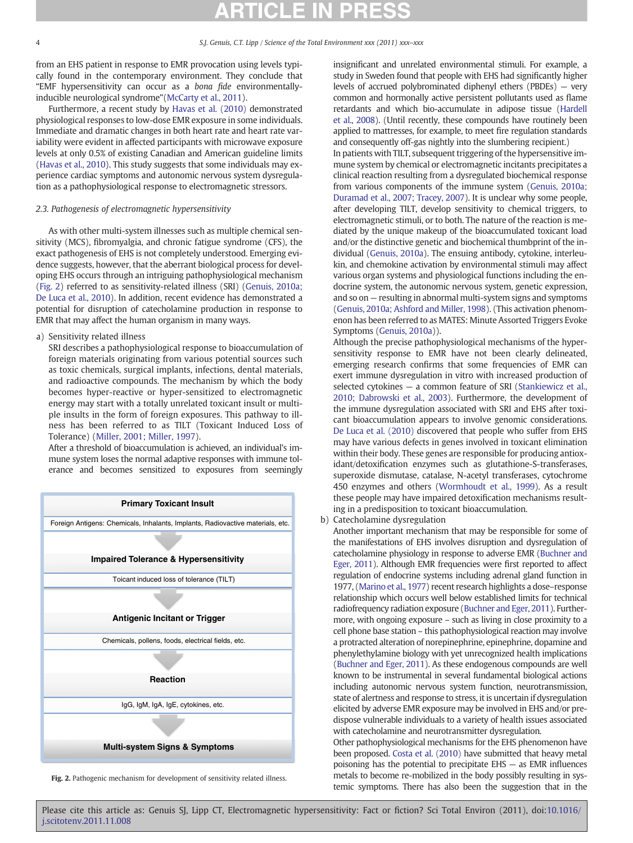from an EHS patient in response to EMR provocation using levels typically found in the contemporary environment. They conclude that "EMF hypersensitivity can occur as a bona fide environmentallyinducible neurological syndrome"[\(McCarty et al., 2011\)](#page-9-0).

Furthermore, a recent study by [Havas et al. \(2010\)](#page-8-0) demonstrated physiological responses to low-dose EMR exposure in some individuals. Immediate and dramatic changes in both heart rate and heart rate variability were evident in affected participants with microwave exposure levels at only 0.5% of existing Canadian and American guideline limits [\(Havas et al., 2010](#page-8-0)). This study suggests that some individuals may experience cardiac symptoms and autonomic nervous system dysregulation as a pathophysiological response to electromagnetic stressors.

# 2.3. Pathogenesis of electromagnetic hypersensitivity

As with other multi-system illnesses such as multiple chemical sensitivity (MCS), fibromyalgia, and chronic fatigue syndrome (CFS), the exact pathogenesis of EHS is not completely understood. Emerging evidence suggests, however, that the aberrant biological process for developing EHS occurs through an intriguing pathophysiological mechanism (Fig. 2) referred to as sensitivity-related illness (SRI) [\(Genuis, 2010a;](#page-8-0) [De Luca et al., 2010\)](#page-8-0). In addition, recent evidence has demonstrated a potential for disruption of catecholamine production in response to EMR that may affect the human organism in many ways.

a) Sensitivity related illness

SRI describes a pathophysiological response to bioaccumulation of foreign materials originating from various potential sources such as toxic chemicals, surgical implants, infections, dental materials, and radioactive compounds. The mechanism by which the body becomes hyper-reactive or hyper-sensitized to electromagnetic energy may start with a totally unrelated toxicant insult or multiple insults in the form of foreign exposures. This pathway to illness has been referred to as TILT (Toxicant Induced Loss of Tolerance) [\(Miller, 2001; Miller, 1997\)](#page-9-0).

After a threshold of bioaccumulation is achieved, an individual's immune system loses the normal adaptive responses with immune tolerance and becomes sensitized to exposures from seemingly



Fig. 2. Pathogenic mechanism for development of sensitivity related illness.

insignificant and unrelated environmental stimuli. For example, a study in Sweden found that people with EHS had significantly higher levels of accrued polybrominated diphenyl ethers (PBDEs) — very common and hormonally active persistent pollutants used as flame retardants and which bio-accumulate in adipose tissue [\(Hardell](#page-8-0) [et al., 2008\)](#page-8-0). (Until recently, these compounds have routinely been applied to mattresses, for example, to meet fire regulation standards and consequently off-gas nightly into the slumbering recipient.)

In patients with TILT, subsequent triggering of the hypersensitive immune system by chemical or electromagnetic incitants precipitates a clinical reaction resulting from a dysregulated biochemical response from various components of the immune system [\(Genuis, 2010a;](#page-8-0) [Duramad et al., 2007; Tracey, 2007](#page-8-0)). It is unclear why some people, after developing TILT, develop sensitivity to chemical triggers, to electromagnetic stimuli, or to both. The nature of the reaction is mediated by the unique makeup of the bioaccumulated toxicant load and/or the distinctive genetic and biochemical thumbprint of the individual [\(Genuis, 2010a\)](#page-8-0). The ensuing antibody, cytokine, interleukin, and chemokine activation by environmental stimuli may affect various organ systems and physiological functions including the endocrine system, the autonomic nervous system, genetic expression, and so on — resulting in abnormal multi-system signs and symptoms [\(Genuis, 2010a; Ashford and Miller, 1998](#page-8-0)). (This activation phenomenon has been referred to as MATES: Minute Assorted Triggers Evoke Symptoms [\(Genuis, 2010a\)](#page-8-0)).

Although the precise pathophysiological mechanisms of the hypersensitivity response to EMR have not been clearly delineated, emerging research confirms that some frequencies of EMR can exert immune dysregulation in vitro with increased production of selected cytokines — a common feature of SRI ([Stankiewicz et al.,](#page-9-0) [2010; Dabrowski et al., 2003](#page-9-0)). Furthermore, the development of the immune dysregulation associated with SRI and EHS after toxicant bioaccumulation appears to involve genomic considerations. [De Luca et al. \(2010\)](#page-8-0) discovered that people who suffer from EHS may have various defects in genes involved in toxicant elimination within their body. These genes are responsible for producing antioxidant/detoxification enzymes such as glutathione-S-transferases, superoxide dismutase, catalase, N-acetyl transferases, cytochrome 450 enzymes and others [\(Wormhoudt et al., 1999](#page-9-0)). As a result these people may have impaired detoxification mechanisms resulting in a predisposition to toxicant bioaccumulation.

b) Catecholamine dysregulation

Another important mechanism that may be responsible for some of the manifestations of EHS involves disruption and dysregulation of catecholamine physiology in response to adverse EMR [\(Buchner and](#page-8-0) [Eger, 2011\)](#page-8-0). Although EMR frequencies were first reported to affect regulation of endocrine systems including adrenal gland function in 1977, ([Marino et al., 1977\)](#page-9-0) recent research highlights a dose–response relationship which occurs well below established limits for technical radiofrequency radiation exposure ([Buchner and Eger, 2011](#page-8-0)). Furthermore, with ongoing exposure – such as living in close proximity to a cell phone base station – this pathophysiological reaction may involve a protracted alteration of norepinephrine, epinephrine, dopamine and phenylethylamine biology with yet unrecognized health implications [\(Buchner and Eger, 2011\)](#page-8-0). As these endogenous compounds are well known to be instrumental in several fundamental biological actions including autonomic nervous system function, neurotransmission, state of alertness and response to stress, it is uncertain if dysregulation elicited by adverse EMR exposure may be involved in EHS and/or predispose vulnerable individuals to a variety of health issues associated with catecholamine and neurotransmitter dysregulation.

Other pathophysiological mechanisms for the EHS phenomenon have been proposed. [Costa et al. \(2010\)](#page-8-0) have submitted that heavy metal poisoning has the potential to precipitate EHS — as EMR influences metals to become re-mobilized in the body possibly resulting in systemic symptoms. There has also been the suggestion that in the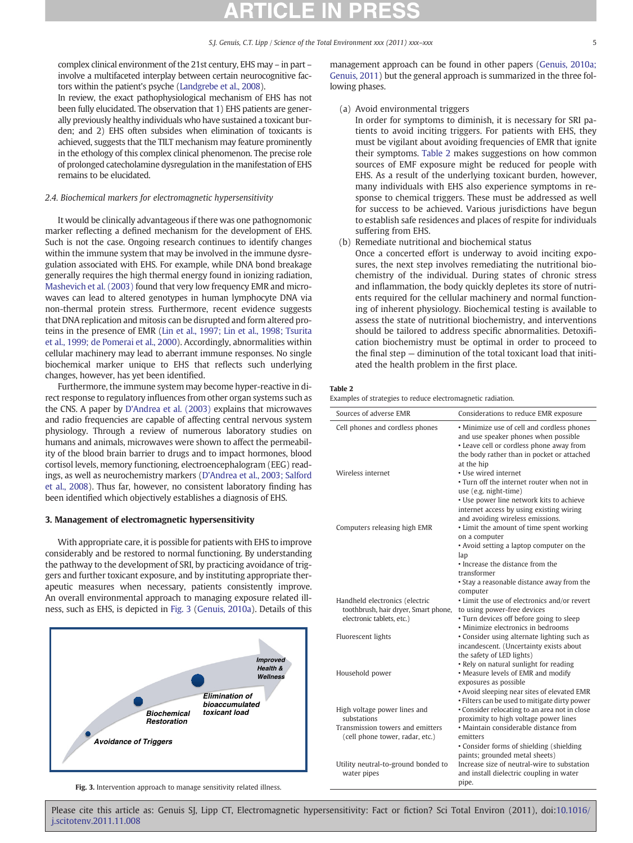complex clinical environment of the 21st century, EHS may – in part – involve a multifaceted interplay between certain neurocognitive factors within the patient's psyche [\(Landgrebe et al., 2008\)](#page-9-0).

In review, the exact pathophysiological mechanism of EHS has not been fully elucidated. The observation that 1) EHS patients are generally previously healthy individuals who have sustained a toxicant burden; and 2) EHS often subsides when elimination of toxicants is achieved, suggests that the TILT mechanism may feature prominently in the ethology of this complex clinical phenomenon. The precise role of prolonged catecholamine dysregulation in the manifestation of EHS remains to be elucidated.

# 2.4. Biochemical markers for electromagnetic hypersensitivity

It would be clinically advantageous if there was one pathognomonic marker reflecting a defined mechanism for the development of EHS. Such is not the case. Ongoing research continues to identify changes within the immune system that may be involved in the immune dysregulation associated with EHS. For example, while DNA bond breakage generally requires the high thermal energy found in ionizing radiation, [Mashevich et al. \(2003\)](#page-9-0) found that very low frequency EMR and microwaves can lead to altered genotypes in human lymphocyte DNA via non-thermal protein stress. Furthermore, recent evidence suggests that DNA replication and mitosis can be disrupted and form altered proteins in the presence of EMR [\(Lin et al., 1997; Lin et al., 1998; Tsurita](#page-9-0) [et al., 1999; de Pomerai et al., 2000](#page-9-0)). Accordingly, abnormalities within cellular machinery may lead to aberrant immune responses. No single biochemical marker unique to EHS that reflects such underlying changes, however, has yet been identified.

Furthermore, the immune system may become hyper-reactive in direct response to regulatory influences from other organ systems such as the CNS. A paper by [D'Andrea et al. \(2003\)](#page-8-0) explains that microwaves and radio frequencies are capable of affecting central nervous system physiology. Through a review of numerous laboratory studies on humans and animals, microwaves were shown to affect the permeability of the blood brain barrier to drugs and to impact hormones, blood cortisol levels, memory functioning, electroencephalogram (EEG) readings, as well as neurochemistry markers [\(D'Andrea et al., 2003; Salford](#page-8-0) [et al., 2008](#page-8-0)). Thus far, however, no consistent laboratory finding has been identified which objectively establishes a diagnosis of EHS.

# 3. Management of electromagnetic hypersensitivity

With appropriate care, it is possible for patients with EHS to improve considerably and be restored to normal functioning. By understanding the pathway to the development of SRI, by practicing avoidance of triggers and further toxicant exposure, and by instituting appropriate therapeutic measures when necessary, patients consistently improve. An overall environmental approach to managing exposure related illness, such as EHS, is depicted in Fig. 3 ([Genuis, 2010a](#page-8-0)). Details of this



Fig. 3. Intervention approach to manage sensitivity related illness.

management approach can be found in other papers [\(Genuis, 2010a;](#page-8-0) [Genuis, 2011](#page-8-0)) but the general approach is summarized in the three following phases.

## (a) Avoid environmental triggers

In order for symptoms to diminish, it is necessary for SRI patients to avoid inciting triggers. For patients with EHS, they must be vigilant about avoiding frequencies of EMR that ignite their symptoms. Table 2 makes suggestions on how common sources of EMF exposure might be reduced for people with EHS. As a result of the underlying toxicant burden, however, many individuals with EHS also experience symptoms in response to chemical triggers. These must be addressed as well for success to be achieved. Various jurisdictions have begun to establish safe residences and places of respite for individuals suffering from EHS.

- (b) Remediate nutritional and biochemical status
	- Once a concerted effort is underway to avoid inciting exposures, the next step involves remediating the nutritional biochemistry of the individual. During states of chronic stress and inflammation, the body quickly depletes its store of nutrients required for the cellular machinery and normal functioning of inherent physiology. Biochemical testing is available to assess the state of nutritional biochemistry, and interventions should be tailored to address specific abnormalities. Detoxification biochemistry must be optimal in order to proceed to the final step — diminution of the total toxicant load that initiated the health problem in the first place.

### Table 2

Examples of strategies to reduce electromagnetic radiation.

| Sources of adverse EMR                                                                              | Considerations to reduce EMR exposure                                                                                                                                                                                     |
|-----------------------------------------------------------------------------------------------------|---------------------------------------------------------------------------------------------------------------------------------------------------------------------------------------------------------------------------|
| Cell phones and cordless phones                                                                     | • Minimize use of cell and cordless phones<br>and use speaker phones when possible<br>• Leave cell or cordless phone away from<br>the body rather than in pocket or attached<br>at the hip                                |
| Wireless internet                                                                                   | • Use wired internet<br>• Turn off the internet router when not in<br>use (e.g. night-time)<br>• Use power line network kits to achieve<br>internet access by using existing wiring<br>and avoiding wireless emissions.   |
| Computers releasing high EMR                                                                        | • Limit the amount of time spent working<br>on a computer<br>• Avoid setting a laptop computer on the<br>lap<br>• Increase the distance from the<br>transformer<br>• Stay a reasonable distance away from the<br>computer |
| Handheld electronics (electric<br>toothbrush, hair dryer, Smart phone,<br>electronic tablets, etc.) | • Limit the use of electronics and/or revert<br>to using power-free devices<br>• Turn devices off before going to sleep<br>• Minimize electronics in bedrooms                                                             |
| Fluorescent lights                                                                                  | • Consider using alternate lighting such as<br>incandescent. (Uncertainty exists about<br>the safety of LED lights)<br>• Rely on natural sunlight for reading                                                             |
| Household power                                                                                     | • Measure levels of EMR and modify<br>exposures as possible<br>• Avoid sleeping near sites of elevated EMR<br>• Filters can be used to mitigate dirty power                                                               |
| High voltage power lines and<br>substations                                                         | • Consider relocating to an area not in close<br>proximity to high voltage power lines                                                                                                                                    |
| Transmission towers and emitters<br>(cell phone tower, radar, etc.)                                 | · Maintain considerable distance from<br>emitters<br>• Consider forms of shielding (shielding<br>paints; grounded metal sheets)                                                                                           |
| Utility neutral-to-ground bonded to<br>water pipes                                                  | Increase size of neutral-wire to substation<br>and install dielectric coupling in water<br>pipe.                                                                                                                          |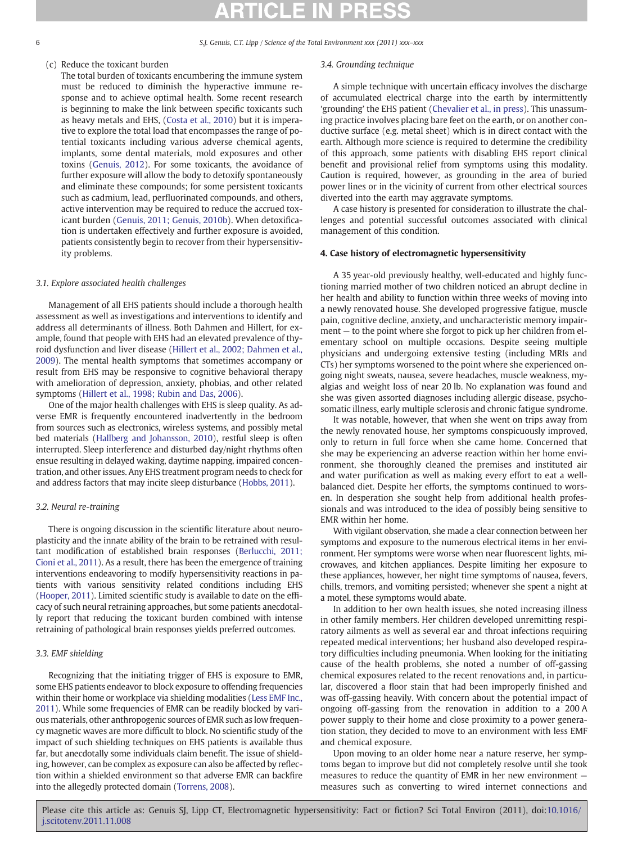# (c) Reduce the toxicant burden

The total burden of toxicants encumbering the immune system must be reduced to diminish the hyperactive immune response and to achieve optimal health. Some recent research is beginning to make the link between specific toxicants such as heavy metals and EHS, ([Costa et al., 2010](#page-8-0)) but it is imperative to explore the total load that encompasses the range of potential toxicants including various adverse chemical agents, implants, some dental materials, mold exposures and other toxins [\(Genuis, 2012\)](http://dx.doi.org/doi:10.1155/2012/605137). For some toxicants, the avoidance of further exposure will allow the body to detoxify spontaneously and eliminate these compounds; for some persistent toxicants such as cadmium, lead, perfluorinated compounds, and others, active intervention may be required to reduce the accrued toxicant burden ([Genuis, 2011; Genuis, 2010b](#page-8-0)). When detoxification is undertaken effectively and further exposure is avoided, patients consistently begin to recover from their hypersensitivity problems.

# 3.1. Explore associated health challenges

Management of all EHS patients should include a thorough health assessment as well as investigations and interventions to identify and address all determinants of illness. Both Dahmen and Hillert, for example, found that people with EHS had an elevated prevalence of thyroid dysfunction and liver disease [\(Hillert et al., 2002; Dahmen et al.,](#page-8-0) [2009\)](#page-8-0). The mental health symptoms that sometimes accompany or result from EHS may be responsive to cognitive behavioral therapy with amelioration of depression, anxiety, phobias, and other related symptoms ([Hillert et al., 1998; Rubin and Das, 2006](#page-8-0)).

One of the major health challenges with EHS is sleep quality. As adverse EMR is frequently encountered inadvertently in the bedroom from sources such as electronics, wireless systems, and possibly metal bed materials [\(Hallberg and Johansson, 2010](#page-8-0)), restful sleep is often interrupted. Sleep interference and disturbed day/night rhythms often ensue resulting in delayed waking, daytime napping, impaired concentration, and other issues. Any EHS treatment program needs to check for and address factors that may incite sleep disturbance [\(Hobbs, 2011](#page-8-0)).

# 3.2. Neural re-training

There is ongoing discussion in the scientific literature about neuroplasticity and the innate ability of the brain to be retrained with resultant modification of established brain responses [\(Berlucchi, 2011;](#page-8-0) [Cioni et al., 2011](#page-8-0)). As a result, there has been the emergence of training interventions endeavoring to modify hypersensitivity reactions in patients with various sensitivity related conditions including EHS [\(Hooper, 2011](#page-8-0)). Limited scientific study is available to date on the efficacy of such neural retraining approaches, but some patients anecdotally report that reducing the toxicant burden combined with intense retraining of pathological brain responses yields preferred outcomes.

# 3.3. EMF shielding

Recognizing that the initiating trigger of EHS is exposure to EMR, some EHS patients endeavor to block exposure to offending frequencies within their home or workplace via shielding modalities ([Less EMF Inc.,](#page-9-0) [2011\)](#page-9-0). While some frequencies of EMR can be readily blocked by various materials, other anthropogenic sources of EMR such as low frequency magnetic waves are more difficult to block. No scientific study of the impact of such shielding techniques on EHS patients is available thus far, but anecdotally some individuals claim benefit. The issue of shielding, however, can be complex as exposure can also be affected by reflection within a shielded environment so that adverse EMR can backfire into the allegedly protected domain ([Torrens, 2008\)](#page-9-0).

# 3.4. Grounding technique

A simple technique with uncertain efficacy involves the discharge of accumulated electrical charge into the earth by intermittently 'grounding' the EHS patient [\(Chevalier et al., in press\)](#page-8-0). This unassuming practice involves placing bare feet on the earth, or on another conductive surface (e.g. metal sheet) which is in direct contact with the earth. Although more science is required to determine the credibility of this approach, some patients with disabling EHS report clinical benefit and provisional relief from symptoms using this modality. Caution is required, however, as grounding in the area of buried power lines or in the vicinity of current from other electrical sources diverted into the earth may aggravate symptoms.

A case history is presented for consideration to illustrate the challenges and potential successful outcomes associated with clinical management of this condition.

# 4. Case history of electromagnetic hypersensitivity

A 35 year-old previously healthy, well-educated and highly functioning married mother of two children noticed an abrupt decline in her health and ability to function within three weeks of moving into a newly renovated house. She developed progressive fatigue, muscle pain, cognitive decline, anxiety, and uncharacteristic memory impairment — to the point where she forgot to pick up her children from elementary school on multiple occasions. Despite seeing multiple physicians and undergoing extensive testing (including MRIs and CTs) her symptoms worsened to the point where she experienced ongoing night sweats, nausea, severe headaches, muscle weakness, myalgias and weight loss of near 20 lb. No explanation was found and she was given assorted diagnoses including allergic disease, psychosomatic illness, early multiple sclerosis and chronic fatigue syndrome.

It was notable, however, that when she went on trips away from the newly renovated house, her symptoms conspicuously improved, only to return in full force when she came home. Concerned that she may be experiencing an adverse reaction within her home environment, she thoroughly cleaned the premises and instituted air and water purification as well as making every effort to eat a wellbalanced diet. Despite her efforts, the symptoms continued to worsen. In desperation she sought help from additional health professionals and was introduced to the idea of possibly being sensitive to EMR within her home.

With vigilant observation, she made a clear connection between her symptoms and exposure to the numerous electrical items in her environment. Her symptoms were worse when near fluorescent lights, microwaves, and kitchen appliances. Despite limiting her exposure to these appliances, however, her night time symptoms of nausea, fevers, chills, tremors, and vomiting persisted; whenever she spent a night at a motel, these symptoms would abate.

In addition to her own health issues, she noted increasing illness in other family members. Her children developed unremitting respiratory ailments as well as several ear and throat infections requiring repeated medical interventions; her husband also developed respiratory difficulties including pneumonia. When looking for the initiating cause of the health problems, she noted a number of off-gassing chemical exposures related to the recent renovations and, in particular, discovered a floor stain that had been improperly finished and was off-gassing heavily. With concern about the potential impact of ongoing off-gassing from the renovation in addition to a 200 A power supply to their home and close proximity to a power generation station, they decided to move to an environment with less EMF and chemical exposure.

Upon moving to an older home near a nature reserve, her symptoms began to improve but did not completely resolve until she took measures to reduce the quantity of EMR in her new environment measures such as converting to wired internet connections and

Please cite this article as: Genuis SJ, Lipp CT, Electromagnetic hypersensitivity: Fact or fiction? Sci Total Environ (2011), doi:[10.1016/](http://dx.doi.org/10.1016/j.scitotenv.2011.11.008) [j.scitotenv.2011.11.008](http://dx.doi.org/10.1016/j.scitotenv.2011.11.008)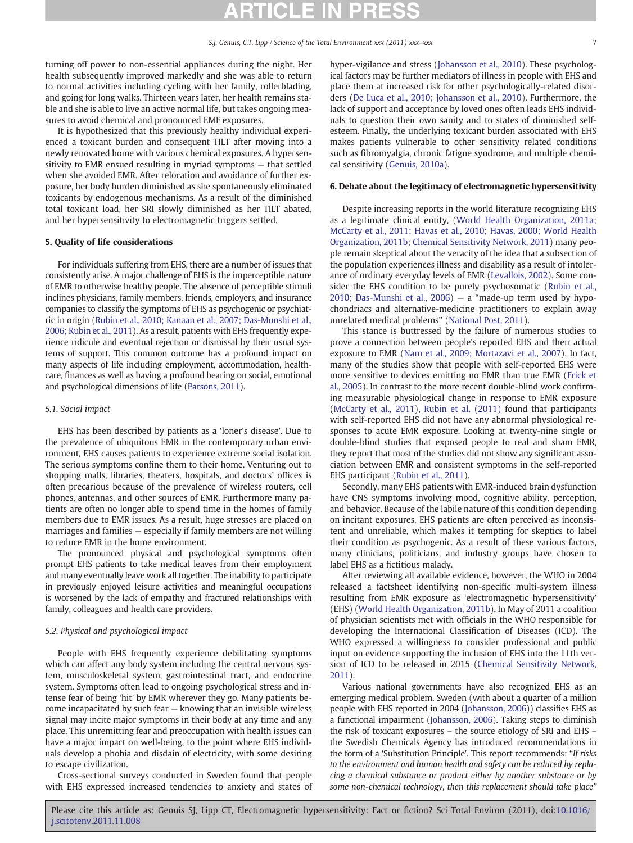turning off power to non-essential appliances during the night. Her health subsequently improved markedly and she was able to return to normal activities including cycling with her family, rollerblading, and going for long walks. Thirteen years later, her health remains stable and she is able to live an active normal life, but takes ongoing measures to avoid chemical and pronounced EMF exposures.

It is hypothesized that this previously healthy individual experienced a toxicant burden and consequent TILT after moving into a newly renovated home with various chemical exposures. A hypersensitivity to EMR ensued resulting in myriad symptoms — that settled when she avoided EMR. After relocation and avoidance of further exposure, her body burden diminished as she spontaneously eliminated toxicants by endogenous mechanisms. As a result of the diminished total toxicant load, her SRI slowly diminished as her TILT abated, and her hypersensitivity to electromagnetic triggers settled.

## 5. Quality of life considerations

For individuals suffering from EHS, there are a number of issues that consistently arise. A major challenge of EHS is the imperceptible nature of EMR to otherwise healthy people. The absence of perceptible stimuli inclines physicians, family members, friends, employers, and insurance companies to classify the symptoms of EHS as psychogenic or psychiatric in origin ([Rubin et al., 2010; Kanaan et al., 2007; Das-Munshi et al.,](#page-9-0) [2006; Rubin et al., 2011\)](#page-9-0). As a result, patients with EHS frequently experience ridicule and eventual rejection or dismissal by their usual systems of support. This common outcome has a profound impact on many aspects of life including employment, accommodation, healthcare, finances as well as having a profound bearing on social, emotional and psychological dimensions of life ([Parsons, 2011\)](#page-9-0).

### 5.1. Social impact

EHS has been described by patients as a 'loner's disease'. Due to the prevalence of ubiquitous EMR in the contemporary urban environment, EHS causes patients to experience extreme social isolation. The serious symptoms confine them to their home. Venturing out to shopping malls, libraries, theaters, hospitals, and doctors' offices is often precarious because of the prevalence of wireless routers, cell phones, antennas, and other sources of EMR. Furthermore many patients are often no longer able to spend time in the homes of family members due to EMR issues. As a result, huge stresses are placed on marriages and families — especially if family members are not willing to reduce EMR in the home environment.

The pronounced physical and psychological symptoms often prompt EHS patients to take medical leaves from their employment and many eventually leave work all together. The inability to participate in previously enjoyed leisure activities and meaningful occupations is worsened by the lack of empathy and fractured relationships with family, colleagues and health care providers.

# 5.2. Physical and psychological impact

People with EHS frequently experience debilitating symptoms which can affect any body system including the central nervous system, musculoskeletal system, gastrointestinal tract, and endocrine system. Symptoms often lead to ongoing psychological stress and intense fear of being 'hit' by EMR wherever they go. Many patients become incapacitated by such fear — knowing that an invisible wireless signal may incite major symptoms in their body at any time and any place. This unremitting fear and preoccupation with health issues can have a major impact on well-being, to the point where EHS individuals develop a phobia and disdain of electricity, with some desiring to escape civilization.

Cross-sectional surveys conducted in Sweden found that people with EHS expressed increased tendencies to anxiety and states of hyper-vigilance and stress ([Johansson et al., 2010\)](#page-9-0). These psychological factors may be further mediators of illness in people with EHS and place them at increased risk for other psychologically-related disor-ders [\(De Luca et al., 2010; Johansson et al., 2010\)](#page-8-0). Furthermore, the lack of support and acceptance by loved ones often leads EHS individuals to question their own sanity and to states of diminished selfesteem. Finally, the underlying toxicant burden associated with EHS makes patients vulnerable to other sensitivity related conditions such as fibromyalgia, chronic fatigue syndrome, and multiple chemical sensitivity [\(Genuis, 2010a\)](#page-8-0).

# 6. Debate about the legitimacy of electromagnetic hypersensitivity

Despite increasing reports in the world literature recognizing EHS as a legitimate clinical entity, ([World Health Organization, 2011a;](#page-9-0) [McCarty et al., 2011; Havas et al., 2010; Havas, 2000; World Health](#page-9-0) [Organization, 2011b; Chemical Sensitivity Network, 2011](#page-9-0)) many people remain skeptical about the veracity of the idea that a subsection of the population experiences illness and disability as a result of intolerance of ordinary everyday levels of EMR [\(Levallois, 2002\)](#page-9-0). Some consider the EHS condition to be purely psychosomatic ([Rubin et al.,](#page-9-0) [2010; Das-Munshi et al., 2006\)](#page-9-0)  $-$  a "made-up term used by hypochondriacs and alternative-medicine practitioners to explain away unrelated medical problems" [\(National Post, 2011](#page-9-0)).

This stance is buttressed by the failure of numerous studies to prove a connection between people's reported EHS and their actual exposure to EMR [\(Nam et al., 2009; Mortazavi et al., 2007](#page-9-0)). In fact, many of the studies show that people with self-reported EHS were more sensitive to devices emitting no EMR than true EMR ([Frick et](#page-8-0) [al., 2005\)](#page-8-0). In contrast to the more recent double-blind work confirming measurable physiological change in response to EMR exposure [\(McCarty et al., 2011](#page-9-0)), [Rubin et al. \(2011\)](#page-9-0) found that participants with self-reported EHS did not have any abnormal physiological responses to acute EMR exposure. Looking at twenty-nine single or double-blind studies that exposed people to real and sham EMR, they report that most of the studies did not show any significant association between EMR and consistent symptoms in the self-reported EHS participant [\(Rubin et al., 2011\)](#page-9-0).

Secondly, many EHS patients with EMR-induced brain dysfunction have CNS symptoms involving mood, cognitive ability, perception, and behavior. Because of the labile nature of this condition depending on incitant exposures, EHS patients are often perceived as inconsistent and unreliable, which makes it tempting for skeptics to label their condition as psychogenic. As a result of these various factors, many clinicians, politicians, and industry groups have chosen to label EHS as a fictitious malady.

After reviewing all available evidence, however, the WHO in 2004 released a factsheet identifying non-specific multi-system illness resulting from EMR exposure as 'electromagnetic hypersensitivity' (EHS) [\(World Health Organization, 2011b](#page-9-0)). In May of 2011 a coalition of physician scientists met with officials in the WHO responsible for developing the International Classification of Diseases (ICD). The WHO expressed a willingness to consider professional and public input on evidence supporting the inclusion of EHS into the 11th version of ICD to be released in 2015 [\(Chemical Sensitivity Network,](#page-8-0) [2011\)](#page-8-0).

Various national governments have also recognized EHS as an emerging medical problem. Sweden (with about a quarter of a million people with EHS reported in 2004 ([Johansson, 2006](#page-9-0))) classifies EHS as a functional impairment [\(Johansson, 2006\)](#page-9-0). Taking steps to diminish the risk of toxicant exposures – the source etiology of SRI and EHS – the Swedish Chemicals Agency has introduced recommendations in the form of a 'Substitution Principle'. This report recommends: "If risks to the environment and human health and safety can be reduced by replacing a chemical substance or product either by another substance or by some non-chemical technology, then this replacement should take place"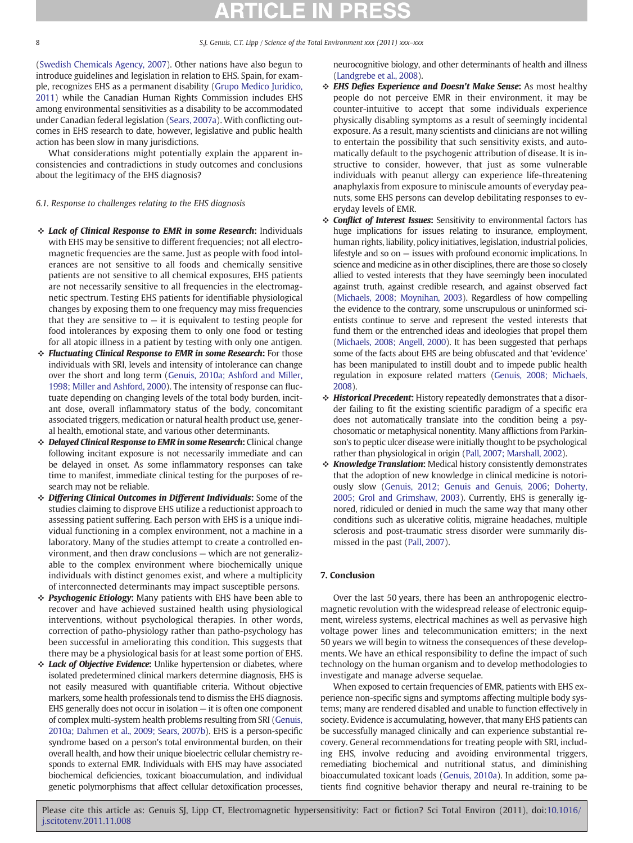[\(Swedish Chemicals Agency, 2007\)](#page-9-0). Other nations have also begun to introduce guidelines and legislation in relation to EHS. Spain, for example, recognizes EHS as a permanent disability [\(Grupo Medico Juridico,](#page-8-0) [2011\)](#page-8-0) while the Canadian Human Rights Commission includes EHS among environmental sensitivities as a disability to be accommodated under Canadian federal legislation ([Sears, 2007a\)](#page-9-0). With conflicting outcomes in EHS research to date, however, legislative and public health action has been slow in many jurisdictions.

What considerations might potentially explain the apparent inconsistencies and contradictions in study outcomes and conclusions about the legitimacy of the EHS diagnosis?

# 6.1. Response to challenges relating to the EHS diagnosis

- ❖ Lack of Clinical Response to EMR in some Research: Individuals with EHS may be sensitive to different frequencies; not all electromagnetic frequencies are the same. Just as people with food intolerances are not sensitive to all foods and chemically sensitive patients are not sensitive to all chemical exposures, EHS patients are not necessarily sensitive to all frequencies in the electromagnetic spectrum. Testing EHS patients for identifiable physiological changes by exposing them to one frequency may miss frequencies that they are sensitive to  $-$  it is equivalent to testing people for food intolerances by exposing them to only one food or testing for all atopic illness in a patient by testing with only one antigen.
- ❖ Fluctuating Clinical Response to EMR in some Research: For those individuals with SRI, levels and intensity of intolerance can change over the short and long term [\(Genuis, 2010a; Ashford and Miller,](#page-8-0) [1998; Miller and Ashford, 2000](#page-8-0)). The intensity of response can fluctuate depending on changing levels of the total body burden, incitant dose, overall inflammatory status of the body, concomitant associated triggers, medication or natural health product use, general health, emotional state, and various other determinants.
- ❖ Delayed Clinical Response to EMR in some Research: Clinical change following incitant exposure is not necessarily immediate and can be delayed in onset. As some inflammatory responses can take time to manifest, immediate clinical testing for the purposes of research may not be reliable.
- ❖ Differing Clinical Outcomes in Different Individuals: Some of the studies claiming to disprove EHS utilize a reductionist approach to assessing patient suffering. Each person with EHS is a unique individual functioning in a complex environment, not a machine in a laboratory. Many of the studies attempt to create a controlled environment, and then draw conclusions — which are not generalizable to the complex environment where biochemically unique individuals with distinct genomes exist, and where a multiplicity of interconnected determinants may impact susceptible persons.
- **❖ Psychogenic Etiology:** Many patients with EHS have been able to recover and have achieved sustained health using physiological interventions, without psychological therapies. In other words, correction of patho-physiology rather than patho-psychology has been successful in ameliorating this condition. This suggests that there may be a physiological basis for at least some portion of EHS.
- **↓ Lack of Objective Evidence:** Unlike hypertension or diabetes, where isolated predetermined clinical markers determine diagnosis, EHS is not easily measured with quantifiable criteria. Without objective markers, some health professionals tend to dismiss the EHS diagnosis. EHS generally does not occur in isolation — it is often one component of complex multi-system health problems resulting from SRI [\(Genuis,](#page-8-0) [2010a; Dahmen et al., 2009; Sears, 2007b](#page-8-0)). EHS is a person-specific syndrome based on a person's total environmental burden, on their overall health, and how their unique bioelectric cellular chemistry responds to external EMR. Individuals with EHS may have associated biochemical deficiencies, toxicant bioaccumulation, and individual genetic polymorphisms that affect cellular detoxification processes,

neurocognitive biology, and other determinants of health and illness [\(Landgrebe et al., 2008](#page-9-0)).

- ❖ EHS Defies Experience and Doesn't Make Sense: As most healthy people do not perceive EMR in their environment, it may be counter-intuitive to accept that some individuals experience physically disabling symptoms as a result of seemingly incidental exposure. As a result, many scientists and clinicians are not willing to entertain the possibility that such sensitivity exists, and automatically default to the psychogenic attribution of disease. It is instructive to consider, however, that just as some vulnerable individuals with peanut allergy can experience life-threatening anaphylaxis from exposure to miniscule amounts of everyday peanuts, some EHS persons can develop debilitating responses to everyday levels of EMR.
- ❖ Conflict of Interest Issues: Sensitivity to environmental factors has huge implications for issues relating to insurance, employment, human rights, liability, policy initiatives, legislation, industrial policies, lifestyle and so on — issues with profound economic implications. In science and medicine as in other disciplines, there are those so closely allied to vested interests that they have seemingly been inoculated against truth, against credible research, and against observed fact [\(Michaels, 2008; Moynihan, 2003](#page-9-0)). Regardless of how compelling the evidence to the contrary, some unscrupulous or uninformed scientists continue to serve and represent the vested interests that fund them or the entrenched ideas and ideologies that propel them [\(Michaels, 2008; Angell, 2000\)](#page-9-0). It has been suggested that perhaps some of the facts about EHS are being obfuscated and that 'evidence' has been manipulated to instill doubt and to impede public health regulation in exposure related matters [\(Genuis, 2008; Michaels,](#page-8-0) [2008](#page-8-0)).
- ❖ Historical Precedent: History repeatedly demonstrates that a disorder failing to fit the existing scientific paradigm of a specific era does not automatically translate into the condition being a psychosomatic or metaphysical nonentity. Many afflictions from Parkinson's to peptic ulcer disease were initially thought to be psychological rather than physiological in origin [\(Pall, 2007; Marshall, 2002\)](#page-9-0).
- ❖ Knowledge Translation: Medical history consistently demonstrates that the adoption of new knowledge in clinical medicine is notoriously slow [\(Genuis, 2012; Genuis and Genuis, 2006; Doherty,](http://dx.doi.org/doi:10.1155/2012/605137) [2005; Grol and Grimshaw, 2003\)](http://dx.doi.org/doi:10.1155/2012/605137). Currently, EHS is generally ignored, ridiculed or denied in much the same way that many other conditions such as ulcerative colitis, migraine headaches, multiple sclerosis and post-traumatic stress disorder were summarily dismissed in the past [\(Pall, 2007](#page-9-0)).

# 7. Conclusion

Over the last 50 years, there has been an anthropogenic electromagnetic revolution with the widespread release of electronic equipment, wireless systems, electrical machines as well as pervasive high voltage power lines and telecommunication emitters; in the next 50 years we will begin to witness the consequences of these developments. We have an ethical responsibility to define the impact of such technology on the human organism and to develop methodologies to investigate and manage adverse sequelae.

When exposed to certain frequencies of EMR, patients with EHS experience non-specific signs and symptoms affecting multiple body systems; many are rendered disabled and unable to function effectively in society. Evidence is accumulating, however, that many EHS patients can be successfully managed clinically and can experience substantial recovery. General recommendations for treating people with SRI, including EHS, involve reducing and avoiding environmental triggers, remediating biochemical and nutritional status, and diminishing bioaccumulated toxicant loads [\(Genuis, 2010a\)](#page-8-0). In addition, some patients find cognitive behavior therapy and neural re-training to be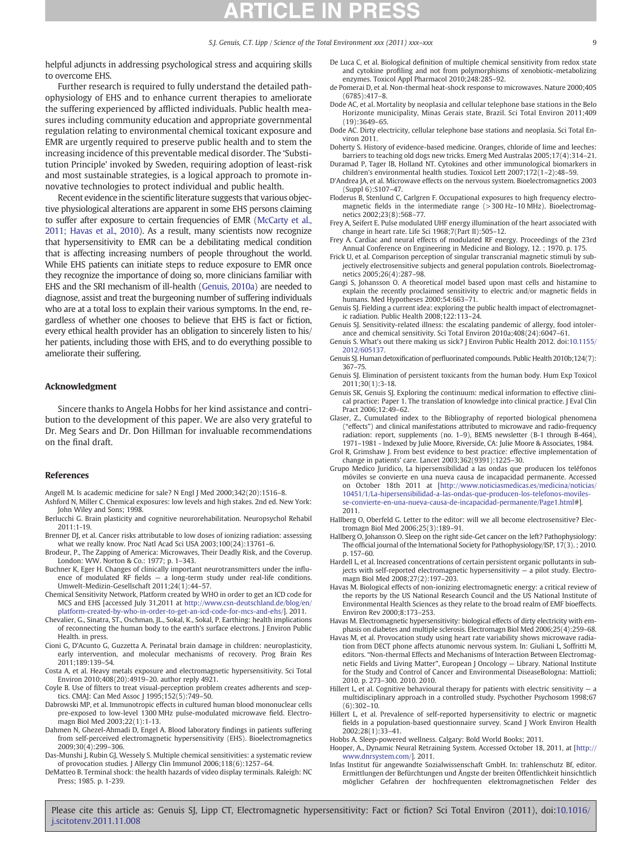# CLE

S.J. Genuis, C.T. Lipp / Science of the Total Environment xxx (2011) xxx-xxx

<span id="page-8-0"></span>helpful adjuncts in addressing psychological stress and acquiring skills to overcome EHS.

Further research is required to fully understand the detailed pathophysiology of EHS and to enhance current therapies to ameliorate the suffering experienced by afflicted individuals. Public health measures including community education and appropriate governmental regulation relating to environmental chemical toxicant exposure and EMR are urgently required to preserve public health and to stem the increasing incidence of this preventable medical disorder. The 'Substitution Principle' invoked by Sweden, requiring adoption of least-risk and most sustainable strategies, is a logical approach to promote innovative technologies to protect individual and public health.

Recent evidence in the scientific literature suggests that various objective physiological alterations are apparent in some EHS persons claiming to suffer after exposure to certain frequencies of EMR [\(McCarty et al.,](#page-9-0) [2011; Havas et al., 2010\)](#page-9-0). As a result, many scientists now recognize that hypersensitivity to EMR can be a debilitating medical condition that is affecting increasing numbers of people throughout the world. While EHS patients can initiate steps to reduce exposure to EMR once they recognize the importance of doing so, more clinicians familiar with EHS and the SRI mechanism of ill-health (Genuis, 2010a) are needed to diagnose, assist and treat the burgeoning number of suffering individuals who are at a total loss to explain their various symptoms. In the end, regardless of whether one chooses to believe that EHS is fact or fiction, every ethical health provider has an obligation to sincerely listen to his/ her patients, including those with EHS, and to do everything possible to ameliorate their suffering.

# Acknowledgment

Sincere thanks to Angela Hobbs for her kind assistance and contribution to the development of this paper. We are also very grateful to Dr. Meg Sears and Dr. Don Hillman for invaluable recommendations on the final draft.

### References

- Angell M. Is academic medicine for sale? N Engl J Med 2000;342(20):1516–8. Ashford N, Miller C. Chemical exposures: low levels and high stakes. 2nd ed. New York:
- John Wiley and Sons; 1998. Berlucchi G. Brain plasticity and cognitive neurorehabilitation. Neuropsychol Rehabil
- 2011:1-19. Brenner DJ, et al. Cancer risks attributable to low doses of ionizing radiation: assessing
- what we really know. Proc Natl Acad Sci USA 2003;100(24):13761–6. Brodeur, P., The Zapping of America: Microwaves, Their Deadly Risk, and the Coverup.
- London: WW. Norton & Co.: 1977; p. 1–343. Buchner K, Eger H. Changes of clinically important neurotransmitters under the influence of modulated RF fields — a long-term study under real-life conditions.
- Umwelt-Medizin-Gesellschaft 2011;24(1):44–57. Chemical Sensitivity Network, Platform created by WHO in order to get an ICD code for MCS and EHS [accessed July 31,2011 at [http://www.csn-deutschland.de/blog/en/](http://www.csn-deutschland.de/blog/en/platform-created-by-who-in-order-to-get-an-icd-code-for-mcs-and-ehs/) [platform-created-by-who-in-order-to-get-an-icd-code-for-mcs-and-ehs/\]](http://www.csn-deutschland.de/blog/en/platform-created-by-who-in-order-to-get-an-icd-code-for-mcs-and-ehs/). 2011.
- Chevalier, G., Sinatra, ST., Oschman, JL., Sokal, K., Sokal, P. Earthing: health implications of reconnecting the human body to the earth's surface electrons. J Environ Public Health. in press.
- Cioni G, D'Acunto G, Guzzetta A. Perinatal brain damage in children: neuroplasticity, early intervention, and molecular mechanisms of recovery. Prog Brain Res 2011;189:139–54.
- Costa A, et al. Heavy metals exposure and electromagnetic hypersensitivity. Sci Total Environ 2010;408(20):4919–20. author reply 4921.
- Coyle B. Use of filters to treat visual-perception problem creates adherents and sceptics. CMAJ: Can Med Assoc J 1995;152(5):749–50.
- Dabrowski MP, et al. Immunotropic effects in cultured human blood mononuclear cells pre-exposed to low-level 1300 MHz pulse-modulated microwave field. Electromagn Biol Med 2003;22(1):1-13.
- Dahmen N, Ghezel-Ahmadi D, Engel A. Blood laboratory findings in patients suffering from self-perceived electromagnetic hypersensitivity (EHS). Bioelectromagnetics 2009;30(4):299–306.
- Das-Munshi J, Rubin GJ, Wessely S. Multiple chemical sensitivities: a systematic review of provocation studies. J Allergy Clin Immunol 2006;118(6):1257–64.
- DeMatteo B. Terminal shock: the health hazards of video display terminals. Raleigh: NC Press; 1985. p. 1-239.
- De Luca C, et al. Biological definition of multiple chemical sensitivity from redox state and cytokine profiling and not from polymorphisms of xenobiotic-metabolizing enzymes. Toxicol Appl Pharmacol 2010;248:285–92.
- de Pomerai D, et al. Non-thermal heat-shock response to microwaves. Nature 2000;405 (6785):417–8.
- Dode AC, et al. Mortality by neoplasia and cellular telephone base stations in the Belo Horizonte municipality, Minas Gerais state, Brazil. Sci Total Environ 2011;409 (19):3649–65.
- Dode AC. Dirty electricity, cellular telephone base stations and neoplasia. Sci Total Environ 2011.
- Doherty S. History of evidence-based medicine. Oranges, chloride of lime and leeches: barriers to teaching old dogs new tricks. Emerg Med Australas 2005;17(4):314–21.
- Duramad P, Tager IB, Holland NT. Cytokines and other immunological biomarkers in children's environmental health studies. Toxicol Lett 2007;172(1–2):48–59.
- D'Andrea JA, et al. Microwave effects on the nervous system. Bioelectromagnetics 2003 (Suppl 6):S107–47.
- Floderus B, Stenlund C, Carlgren F. Occupational exposures to high frequency electromagnetic fields in the intermediate range (>300 Hz-10 MHz). Bioelectromagnetics 2002;23(8):568–77.
- Frey A, Seifert E. Pulse modulated UHF energy illumination of the heart associated with change in heart rate. Life Sci 1968;7(Part II):505–12.
- Frey A. Cardiac and neural effects of modulated RF energy. Proceedings of the 23rd Annual Conference on Engineering in Medicine and Biology, 12. ; 1970. p. 175.
- Frick U, et al. Comparison perception of singular transcranial magnetic stimuli by subjectively electrosensitive subjects and general population controls. Bioelectromagnetics 2005;26(4):287–98.
- Gangi S, Johansson O. A theoretical model based upon mast cells and histamine to explain the recently proclaimed sensitivity to electric and/or magnetic fields in humans. Med Hypotheses 2000;54:663–71.
- Genuis SJ. Fielding a current idea: exploring the public health impact of electromagnetic radiation. Public Health 2008;122:113–24.
- Genuis SJ. Sensitivity-related illness: the escalating pandemic of allergy, food intolerance and chemical sensitivity. Sci Total Environ 2010a;408(24):6047–61.
- Genuis S. What's out there making us sick? J Environ Public Health 2012. doi:10.1155/ 2012/605137.
- Genuis SJ. Human detoxification of perfluorinated compounds. Public Health 2010b;124(7): 367–75.
- Genuis SJ. Elimination of persistent toxicants from the human body. Hum Exp Toxicol 2011;30(1):3-18.
- Genuis SK, Genuis SJ. Exploring the continuum: medical information to effective clinical practice: Paper 1. The translation of knowledge into clinical practice. J Eval Clin Pract 2006;12:49–62.
- Glaser, Z., Cumulated index to the Bibliography of reported biological phenomena ("effects") and clinical manifestations attributed to microwave and radio-frequency radiation: report, supplements (no. 1–9), BEMS newsletter (B-1 through B-464), 1971–1981 - Indexed by Julie Moore, Riverside, CA: Julie Moore & Associates, 1984.
- Grol R, Grimshaw J. From best evidence to best practice: effective implementation of change in patients' care. Lancet 2003;362(9391):1225–30.
- Grupo Medico Juridico, La hipersensibilidad a las ondas que producen los teléfonos móviles se convierte en una nueva causa de incapacidad permanente. Accessed on October 18th 2011 at [\[http://www.noticiasmedicas.es/medicina/noticias/](http://www.noticiasmedicas.es/medicina/noticias/10451/1/La-hipersensibilidad-a-las-ondas-que-producen-los-telefonos-moviles-se-convierte-en-una-nueva-causa-de-incapacidad-permanente/Page1.html) [10451/1/La-hipersensibilidad-a-las-ondas-que-producen-los-telefonos-moviles](http://www.noticiasmedicas.es/medicina/noticias/10451/1/La-hipersensibilidad-a-las-ondas-que-producen-los-telefonos-moviles-se-convierte-en-una-nueva-causa-de-incapacidad-permanente/Page1.html)[se-convierte-en-una-nueva-causa-de-incapacidad-permanente/Page1.html#](http://www.noticiasmedicas.es/medicina/noticias/10451/1/La-hipersensibilidad-a-las-ondas-que-producen-los-telefonos-moviles-se-convierte-en-una-nueva-causa-de-incapacidad-permanente/Page1.html)]. 2011.
- Hallberg O, Oberfeld G. Letter to the editor: will we all become electrosensitive? Electromagn Biol Med 2006;25(3):189–91.
- Hallberg O, Johansson O. Sleep on the right side-Get cancer on the left? Pathophysiology: The official journal of the International Society for Pathophysiology/ISP, 17(3). ; 2010. p. 157–60.
- Hardell L, et al. Increased concentrations of certain persistent organic pollutants in subjects with self-reported electromagnetic hypersensitivity — a pilot study. Electromagn Biol Med 2008;27(2):197–203.
- Havas M. Biological effects of non-ionizing electromagnetic energy: a critical review of the reports by the US National Research Council and the US National Institute of Environmental Health Sciences as they relate to the broad realm of EMF bioeffects. Environ Rev 2000;8:173–253.
- Havas M. Electromagnetic hypersensitivity: biological effects of dirty electricity with emphasis on diabetes and multiple sclerosis. Electromagn Biol Med 2006;25(4):259–68.
- Havas M, et al. Provocation study using heart rate variability shows microwave radiation from DECT phone affects atunomic nervous system. In: Giuliani L, Soffritti M, editors. "Non-thermal Effects and Mechanisms of Interaction Between Electromagnetic Fields and Living Matter", European J Oncology — Library. National Institute for the Study and Control of Cancer and Environmental DiseaseBologna: Mattioli; 2010. p. 273–300. 2010. 2010.
- Hillert L, et al. Cognitive behavioural therapy for patients with electric sensitivity  $a$ multidisciplinary approach in a controlled study. Psychother Psychosom 1998;67 (6):302–10.
- Hillert L, et al. Prevalence of self-reported hypersensitivity to electric or magnetic fields in a population-based questionnaire survey. Scand J Work Environ Health 2002;28(1):33–41.
- Hobbs A. Sleep-powered wellness. Calgary: Bold World Books; 2011.
- Hooper, A., Dynamic Neural Retraining System. Accessed October 18, 2011, at [\[http://](http://www.dnrsystem.com/) [www.dnrsystem.com/](http://www.dnrsystem.com/)]. 2011.
- Infas Institut für angewandte Sozialwissenschaft GmbH. In: trahlenschutz Bf, editor. Ermittlungen der Befürchtungen und Ängste der breiten Öffentlichkeit hinsichtlich möglicher Gefahren der hochfrequenten elektromagnetischen Felder des